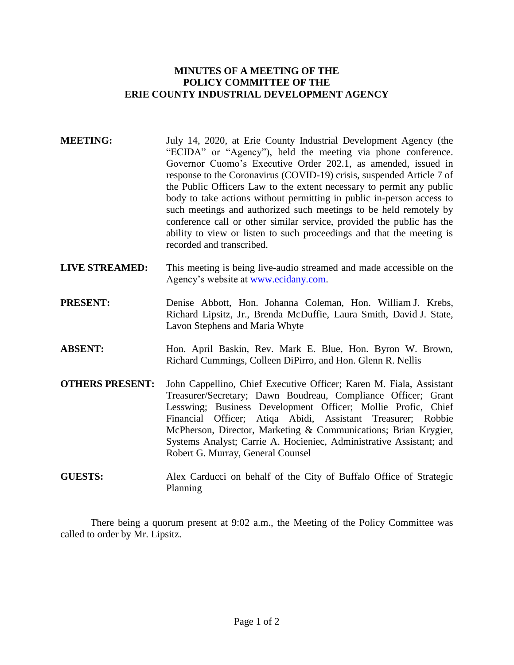## **MINUTES OF A MEETING OF THE POLICY COMMITTEE OF THE ERIE COUNTY INDUSTRIAL DEVELOPMENT AGENCY**

- **MEETING:** July 14, 2020, at Erie County Industrial Development Agency (the "ECIDA" or "Agency"), held the meeting via phone conference. Governor Cuomo's Executive Order 202.1, as amended, issued in response to the Coronavirus (COVID-19) crisis, suspended Article 7 of the Public Officers Law to the extent necessary to permit any public body to take actions without permitting in public in-person access to such meetings and authorized such meetings to be held remotely by conference call or other similar service, provided the public has the ability to view or listen to such proceedings and that the meeting is recorded and transcribed.
- **LIVE STREAMED:** This meeting is being live-audio streamed and made accessible on the Agency's website at [www.ecidany.com.](http://www.ecidany.com/)
- **PRESENT:** Denise Abbott, Hon. Johanna Coleman, Hon. William J. Krebs, Richard Lipsitz, Jr., Brenda McDuffie, Laura Smith, David J. State, Lavon Stephens and Maria Whyte
- **ABSENT:** Hon. April Baskin, Rev. Mark E. Blue, Hon. Byron W. Brown, Richard Cummings, Colleen DiPirro, and Hon. Glenn R. Nellis
- **OTHERS PRESENT:** John Cappellino, Chief Executive Officer; Karen M. Fiala, Assistant Treasurer/Secretary; Dawn Boudreau, Compliance Officer; Grant Lesswing; Business Development Officer; Mollie Profic, Chief Financial Officer; Atiqa Abidi, Assistant Treasurer; Robbie McPherson, Director, Marketing & Communications; Brian Krygier, Systems Analyst; Carrie A. Hocieniec, Administrative Assistant; and Robert G. Murray, General Counsel
- **GUESTS:** Alex Carducci on behalf of the City of Buffalo Office of Strategic Planning

There being a quorum present at 9:02 a.m., the Meeting of the Policy Committee was called to order by Mr. Lipsitz.